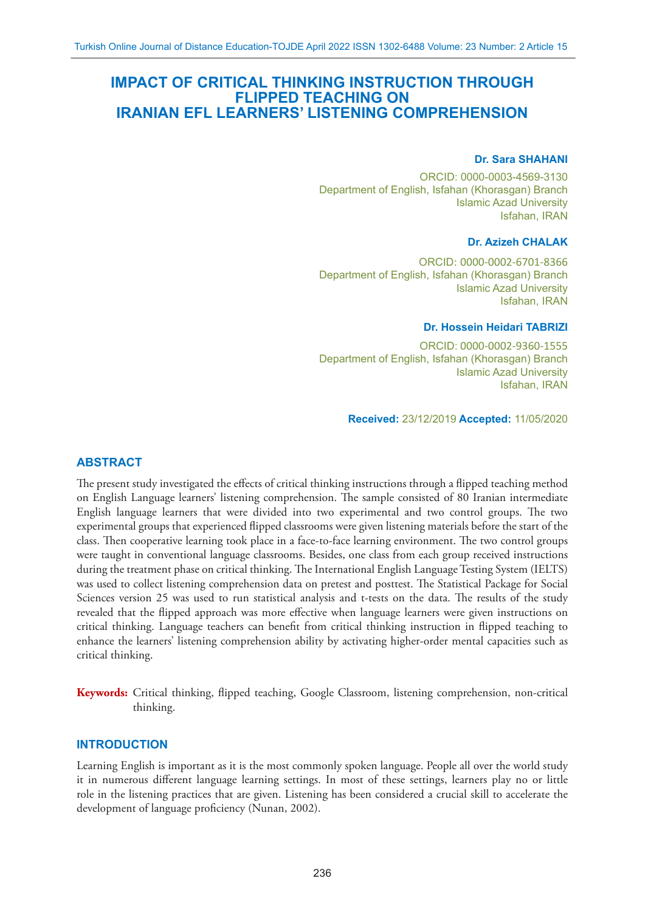# **IMPACT OF CRITICAL THINKING INSTRUCTION THROUGH FLIPPED TEACHING ON IRANIAN EFL LEARNERS' LISTENING COMPREHENSION**

#### **Dr. Sara SHAHANI**

ORCID: 0000-0003-4569-3130 Department of English, Isfahan (Khorasgan) Branch Islamic Azad University Isfahan, IRAN

#### **Dr. Azizeh CHALAK**

ORCID: 0000-0002-6701-8366 Department of English, Isfahan (Khorasgan) Branch Islamic Azad University Isfahan, IRAN

#### **Dr. Hossein Heidari TABRIZI**

ORCID: 0000-0002-9360-1555 Department of English, Isfahan (Khorasgan) Branch Islamic Azad University Isfahan, IRAN

**Received:** 23/12/2019 **Accepted:** 11/05/2020

### **ABSTRACT**

The present study investigated the effects of critical thinking instructions through a flipped teaching method on English Language learners' listening comprehension. The sample consisted of 80 Iranian intermediate English language learners that were divided into two experimental and two control groups. The two experimental groups that experienced flipped classrooms were given listening materials before the start of the class. Then cooperative learning took place in a face-to-face learning environment. The two control groups were taught in conventional language classrooms. Besides, one class from each group received instructions during the treatment phase on critical thinking. The International English Language Testing System (IELTS) was used to collect listening comprehension data on pretest and posttest. The Statistical Package for Social Sciences version 25 was used to run statistical analysis and t-tests on the data. The results of the study revealed that the flipped approach was more effective when language learners were given instructions on critical thinking. Language teachers can benefit from critical thinking instruction in flipped teaching to enhance the learners' listening comprehension ability by activating higher-order mental capacities such as critical thinking.

**Keywords:** Critical thinking, flipped teaching, Google Classroom, listening comprehension, non-critical thinking.

#### **INTRODUCTION**

Learning English is important as it is the most commonly spoken language. People all over the world study it in numerous different language learning settings. In most of these settings, learners play no or little role in the listening practices that are given. Listening has been considered a crucial skill to accelerate the development of language proficiency (Nunan, 2002).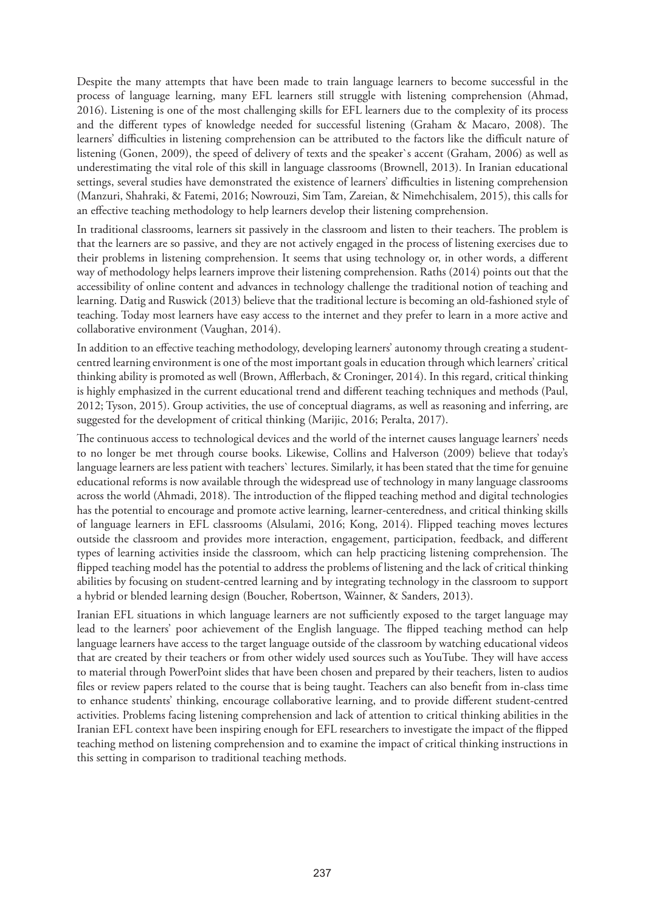Despite the many attempts that have been made to train language learners to become successful in the process of language learning, many EFL learners still struggle with listening comprehension (Ahmad, 2016). Listening is one of the most challenging skills for EFL learners due to the complexity of its process and the different types of knowledge needed for successful listening (Graham & Macaro, 2008). The learners' difficulties in listening comprehension can be attributed to the factors like the difficult nature of listening (Gonen, 2009), the speed of delivery of texts and the speaker`s accent (Graham, 2006) as well as underestimating the vital role of this skill in language classrooms (Brownell, 2013). In Iranian educational settings, several studies have demonstrated the existence of learners' difficulties in listening comprehension (Manzuri, Shahraki, & Fatemi, 2016; Nowrouzi, Sim Tam, Zareian, & Nimehchisalem, 2015), this calls for an effective teaching methodology to help learners develop their listening comprehension.

In traditional classrooms, learners sit passively in the classroom and listen to their teachers. The problem is that the learners are so passive, and they are not actively engaged in the process of listening exercises due to their problems in listening comprehension. It seems that using technology or, in other words, a different way of methodology helps learners improve their listening comprehension. Raths (2014) points out that the accessibility of online content and advances in technology challenge the traditional notion of teaching and learning. Datig and Ruswick (2013) believe that the traditional lecture is becoming an old-fashioned style of teaching. Today most learners have easy access to the internet and they prefer to learn in a more active and collaborative environment (Vaughan, 2014).

In addition to an effective teaching methodology, developing learners' autonomy through creating a studentcentred learning environment is one of the most important goals in education through which learners' critical thinking ability is promoted as well (Brown, Afflerbach, & Croninger, 2014). In this regard, critical thinking is highly emphasized in the current educational trend and different teaching techniques and methods (Paul, 2012; Tyson, 2015). Group activities, the use of conceptual diagrams, as well as reasoning and inferring, are suggested for the development of critical thinking (Marijic, 2016; Peralta, 2017).

The continuous access to technological devices and the world of the internet causes language learners' needs to no longer be met through course books. Likewise, Collins and Halverson (2009) believe that today's language learners are less patient with teachers` lectures. Similarly, it has been stated that the time for genuine educational reforms is now available through the widespread use of technology in many language classrooms across the world (Ahmadi, 2018). The introduction of the flipped teaching method and digital technologies has the potential to encourage and promote active learning, learner-centeredness, and critical thinking skills of language learners in EFL classrooms (Alsulami, 2016; Kong, 2014). Flipped teaching moves lectures outside the classroom and provides more interaction, engagement, participation, feedback, and different types of learning activities inside the classroom, which can help practicing listening comprehension. The flipped teaching model has the potential to address the problems of listening and the lack of critical thinking abilities by focusing on student-centred learning and by integrating technology in the classroom to support a hybrid or blended learning design (Boucher, Robertson, Wainner, & Sanders, 2013).

Iranian EFL situations in which language learners are not sufficiently exposed to the target language may lead to the learners' poor achievement of the English language. The flipped teaching method can help language learners have access to the target language outside of the classroom by watching educational videos that are created by their teachers or from other widely used sources such as YouTube. They will have access to material through PowerPoint slides that have been chosen and prepared by their teachers, listen to audios files or review papers related to the course that is being taught. Teachers can also benefit from in-class time to enhance students' thinking, encourage collaborative learning, and to provide different student-centred activities. Problems facing listening comprehension and lack of attention to critical thinking abilities in the Iranian EFL context have been inspiring enough for EFL researchers to investigate the impact of the flipped teaching method on listening comprehension and to examine the impact of critical thinking instructions in this setting in comparison to traditional teaching methods.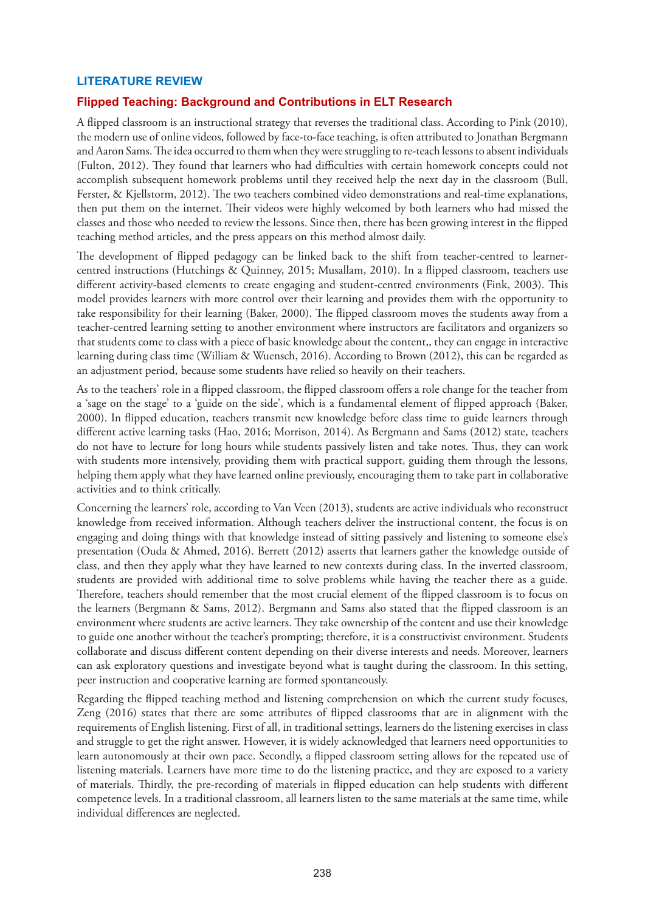## **LITERATURE REVIEW**

## **Flipped Teaching: Background and Contributions in ELT Research**

A flipped classroom is an instructional strategy that reverses the traditional class. According to Pink (2010), the modern use of online videos, followed by face-to-face teaching, is often attributed to Jonathan Bergmann and Aaron Sams. The idea occurred to them when they were struggling to re-teach lessons to absent individuals (Fulton, 2012). They found that learners who had difficulties with certain homework concepts could not accomplish subsequent homework problems until they received help the next day in the classroom (Bull, Ferster, & Kjellstorm, 2012). The two teachers combined video demonstrations and real-time explanations, then put them on the internet. Their videos were highly welcomed by both learners who had missed the classes and those who needed to review the lessons. Since then, there has been growing interest in the flipped teaching method articles, and the press appears on this method almost daily.

The development of flipped pedagogy can be linked back to the shift from teacher-centred to learnercentred instructions (Hutchings & Quinney, 2015; Musallam, 2010). In a flipped classroom, teachers use different activity-based elements to create engaging and student-centred environments (Fink, 2003). This model provides learners with more control over their learning and provides them with the opportunity to take responsibility for their learning (Baker, 2000). The flipped classroom moves the students away from a teacher-centred learning setting to another environment where instructors are facilitators and organizers so that students come to class with a piece of basic knowledge about the content,, they can engage in interactive learning during class time (William & Wuensch, 2016). According to Brown (2012), this can be regarded as an adjustment period, because some students have relied so heavily on their teachers.

As to the teachers' role in a flipped classroom, the flipped classroom offers a role change for the teacher from a 'sage on the stage' to a 'guide on the side', which is a fundamental element of flipped approach (Baker, 2000). In flipped education, teachers transmit new knowledge before class time to guide learners through different active learning tasks (Hao, 2016; Morrison, 2014). As Bergmann and Sams (2012) state, teachers do not have to lecture for long hours while students passively listen and take notes. Thus, they can work with students more intensively, providing them with practical support, guiding them through the lessons, helping them apply what they have learned online previously, encouraging them to take part in collaborative activities and to think critically.

Concerning the learners' role, according to Van Veen (2013), students are active individuals who reconstruct knowledge from received information. Although teachers deliver the instructional content, the focus is on engaging and doing things with that knowledge instead of sitting passively and listening to someone else's presentation (Ouda & Ahmed, 2016). Berrett (2012) asserts that learners gather the knowledge outside of class, and then they apply what they have learned to new contexts during class. In the inverted classroom, students are provided with additional time to solve problems while having the teacher there as a guide. Therefore, teachers should remember that the most crucial element of the flipped classroom is to focus on the learners (Bergmann & Sams, 2012). Bergmann and Sams also stated that the flipped classroom is an environment where students are active learners. They take ownership of the content and use their knowledge to guide one another without the teacher's prompting; therefore, it is a constructivist environment. Students collaborate and discuss different content depending on their diverse interests and needs. Moreover, learners can ask exploratory questions and investigate beyond what is taught during the classroom. In this setting, peer instruction and cooperative learning are formed spontaneously.

Regarding the flipped teaching method and listening comprehension on which the current study focuses, Zeng (2016) states that there are some attributes of flipped classrooms that are in alignment with the requirements of English listening. First of all, in traditional settings, learners do the listening exercises in class and struggle to get the right answer. However, it is widely acknowledged that learners need opportunities to learn autonomously at their own pace. Secondly, a flipped classroom setting allows for the repeated use of listening materials. Learners have more time to do the listening practice, and they are exposed to a variety of materials. Thirdly, the pre-recording of materials in flipped education can help students with different competence levels. In a traditional classroom, all learners listen to the same materials at the same time, while individual differences are neglected.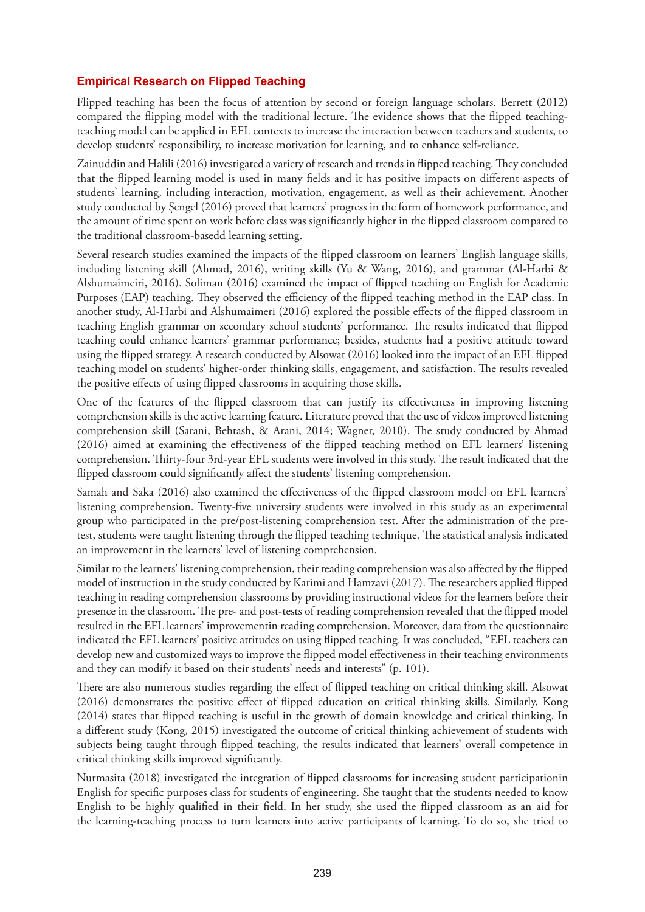# **Empirical Research on Flipped Teaching**

Flipped teaching has been the focus of attention by second or foreign language scholars. Berrett (2012) compared the flipping model with the traditional lecture. The evidence shows that the flipped teachingteaching model can be applied in EFL contexts to increase the interaction between teachers and students, to develop students' responsibility, to increase motivation for learning, and to enhance self-reliance.

Zainuddin and Halili (2016) investigated a variety of research and trends in flipped teaching. They concluded that the flipped learning model is used in many fields and it has positive impacts on different aspects of students' learning, including interaction, motivation, engagement, as well as their achievement. Another study conducted by Șengel (2016) proved that learners' progress in the form of homework performance, and the amount of time spent on work before class was significantly higher in the flipped classroom compared to the traditional classroom-basedd learning setting.

Several research studies examined the impacts of the flipped classroom on learners' English language skills, including listening skill (Ahmad, 2016), writing skills (Yu & Wang, 2016), and grammar (Al-Harbi & Alshumaimeiri, 2016). Soliman (2016) examined the impact of flipped teaching on English for Academic Purposes (EAP) teaching. They observed the efficiency of the flipped teaching method in the EAP class. In another study, Al-Harbi and Alshumaimeri (2016) explored the possible effects of the flipped classroom in teaching English grammar on secondary school students' performance. The results indicated that flipped teaching could enhance learners' grammar performance; besides, students had a positive attitude toward using the flipped strategy. A research conducted by Alsowat (2016) looked into the impact of an EFL flipped teaching model on students' higher-order thinking skills, engagement, and satisfaction. The results revealed the positive effects of using flipped classrooms in acquiring those skills.

One of the features of the flipped classroom that can justify its effectiveness in improving listening comprehension skills is the active learning feature. Literature proved that the use of videos improved listening comprehension skill (Sarani, Behtash, & Arani, 2014; Wagner, 2010). The study conducted by Ahmad (2016) aimed at examining the effectiveness of the flipped teaching method on EFL learners' listening comprehension. Thirty-four 3rd-year EFL students were involved in this study. The result indicated that the flipped classroom could significantly affect the students' listening comprehension.

Samah and Saka (2016) also examined the effectiveness of the flipped classroom model on EFL learners' listening comprehension. Twenty-five university students were involved in this study as an experimental group who participated in the pre/post-listening comprehension test. After the administration of the pretest, students were taught listening through the flipped teaching technique. The statistical analysis indicated an improvement in the learners' level of listening comprehension.

Similar to the learners' listening comprehension, their reading comprehension was also affected by the flipped model of instruction in the study conducted by Karimi and Hamzavi (2017). The researchers applied flipped teaching in reading comprehension classrooms by providing instructional videos for the learners before their presence in the classroom. The pre- and post-tests of reading comprehension revealed that the flipped model resulted in the EFL learners' improvementin reading comprehension. Moreover, data from the questionnaire indicated the EFL learners' positive attitudes on using flipped teaching. It was concluded, "EFL teachers can develop new and customized ways to improve the flipped model effectiveness in their teaching environments and they can modify it based on their students' needs and interests" (p. 101).

There are also numerous studies regarding the effect of flipped teaching on critical thinking skill. Alsowat (2016) demonstrates the positive effect of flipped education on critical thinking skills. Similarly, Kong (2014) states that flipped teaching is useful in the growth of domain knowledge and critical thinking. In a different study (Kong, 2015) investigated the outcome of critical thinking achievement of students with subjects being taught through flipped teaching, the results indicated that learners' overall competence in critical thinking skills improved significantly.

Nurmasita (2018) investigated the integration of flipped classrooms for increasing student participationin English for specific purposes class for students of engineering. She taught that the students needed to know English to be highly qualified in their field. In her study, she used the flipped classroom as an aid for the learning-teaching process to turn learners into active participants of learning. To do so, she tried to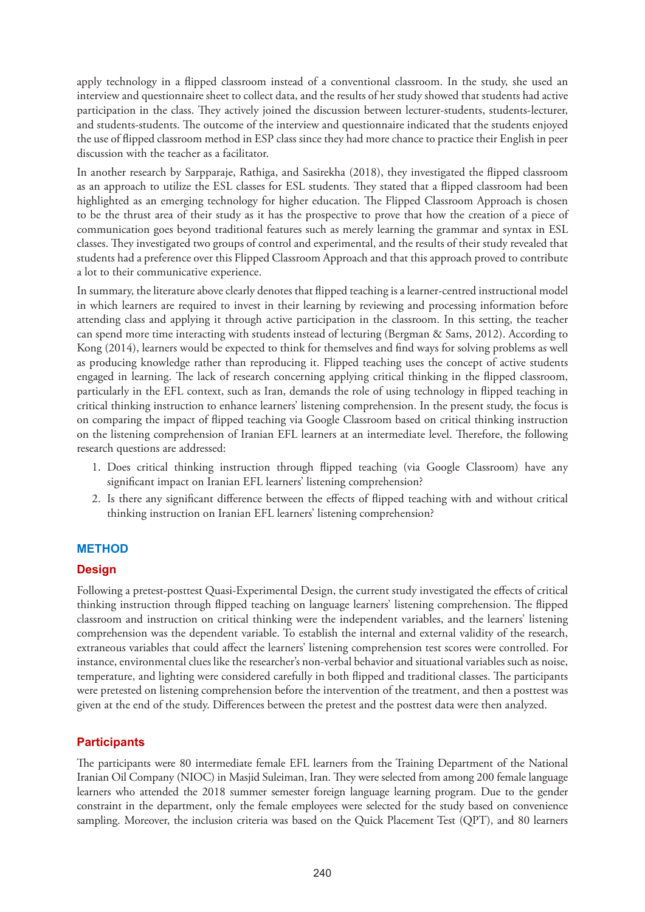apply technology in a flipped classroom instead of a conventional classroom. In the study, she used an interview and questionnaire sheet to collect data, and the results of her study showed that students had active participation in the class. They actively joined the discussion between lecturer-students, students-lecturer, and students-students. The outcome of the interview and questionnaire indicated that the students enjoyed the use of flipped classroom method in ESP class since they had more chance to practice their English in peer discussion with the teacher as a facilitator.

In another research by Sarpparaje, Rathiga, and Sasirekha (2018), they investigated the flipped classroom as an approach to utilize the ESL classes for ESL students. They stated that a flipped classroom had been highlighted as an emerging technology for higher education. The Flipped Classroom Approach is chosen to be the thrust area of their study as it has the prospective to prove that how the creation of a piece of communication goes beyond traditional features such as merely learning the grammar and syntax in ESL classes. They investigated two groups of control and experimental, and the results of their study revealed that students had a preference over this Flipped Classroom Approach and that this approach proved to contribute a lot to their communicative experience.

In summary, the literature above clearly denotes that flipped teaching is a learner-centred instructional model in which learners are required to invest in their learning by reviewing and processing information before attending class and applying it through active participation in the classroom. In this setting, the teacher can spend more time interacting with students instead of lecturing (Bergman & Sams, 2012). According to Kong (2014), learners would be expected to think for themselves and find ways for solving problems as well as producing knowledge rather than reproducing it. Flipped teaching uses the concept of active students engaged in learning. The lack of research concerning applying critical thinking in the flipped classroom, particularly in the EFL context, such as Iran, demands the role of using technology in flipped teaching in critical thinking instruction to enhance learners' listening comprehension. In the present study, the focus is on comparing the impact of flipped teaching via Google Classroom based on critical thinking instruction on the listening comprehension of Iranian EFL learners at an intermediate level. Therefore, the following research questions are addressed:

- 1. Does critical thinking instruction through flipped teaching (via Google Classroom) have any significant impact on Iranian EFL learners' listening comprehension?
- 2. Is there any significant difference between the effects of flipped teaching with and without critical thinking instruction on Iranian EFL learners' listening comprehension?

# **METHOD**

# **Design**

Following a pretest-posttest Quasi-Experimental Design, the current study investigated the effects of critical thinking instruction through flipped teaching on language learners' listening comprehension. The flipped classroom and instruction on critical thinking were the independent variables, and the learners' listening comprehension was the dependent variable. To establish the internal and external validity of the research, extraneous variables that could affect the learners' listening comprehension test scores were controlled. For instance, environmental clues like the researcher's non-verbal behavior and situational variables such as noise, temperature, and lighting were considered carefully in both flipped and traditional classes. The participants were pretested on listening comprehension before the intervention of the treatment, and then a posttest was given at the end of the study. Differences between the pretest and the posttest data were then analyzed.

# **Participants**

The participants were 80 intermediate female EFL learners from the Training Department of the National Iranian Oil Company (NIOC) in Masjid Suleiman, Iran. They were selected from among 200 female language learners who attended the 2018 summer semester foreign language learning program. Due to the gender constraint in the department, only the female employees were selected for the study based on convenience sampling. Moreover, the inclusion criteria was based on the Quick Placement Test (QPT), and 80 learners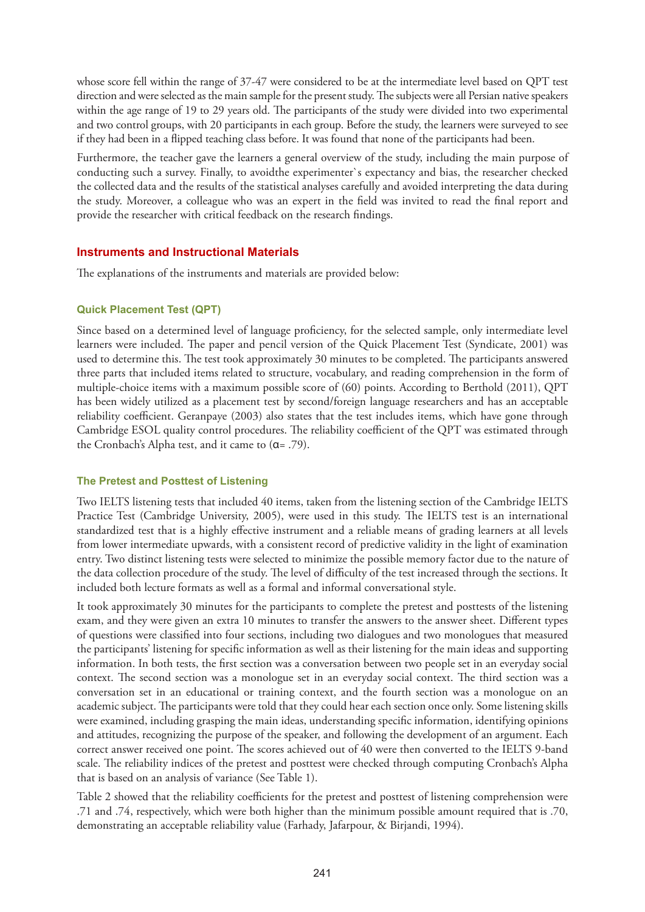whose score fell within the range of 37-47 were considered to be at the intermediate level based on QPT test direction and were selected as the main sample for the present study. The subjects were all Persian native speakers within the age range of 19 to 29 years old. The participants of the study were divided into two experimental and two control groups, with 20 participants in each group. Before the study, the learners were surveyed to see if they had been in a flipped teaching class before. It was found that none of the participants had been.

Furthermore, the teacher gave the learners a general overview of the study, including the main purpose of conducting such a survey. Finally, to avoidthe experimenter`s expectancy and bias, the researcher checked the collected data and the results of the statistical analyses carefully and avoided interpreting the data during the study. Moreover, a colleague who was an expert in the field was invited to read the final report and provide the researcher with critical feedback on the research findings.

## **Instruments and Instructional Materials**

The explanations of the instruments and materials are provided below:

#### **Quick Placement Test (QPT)**

Since based on a determined level of language proficiency, for the selected sample, only intermediate level learners were included. The paper and pencil version of the Quick Placement Test (Syndicate, 2001) was used to determine this. The test took approximately 30 minutes to be completed. The participants answered three parts that included items related to structure, vocabulary, and reading comprehension in the form of multiple-choice items with a maximum possible score of (60) points. According to Berthold (2011), QPT has been widely utilized as a placement test by second/foreign language researchers and has an acceptable reliability coefficient. Geranpaye (2003) also states that the test includes items, which have gone through Cambridge ESOL quality control procedures. The reliability coefficient of the QPT was estimated through the Cronbach's Alpha test, and it came to (α= .79).

#### **The Pretest and Posttest of Listening**

Two IELTS listening tests that included 40 items, taken from the listening section of the Cambridge IELTS Practice Test (Cambridge University, 2005), were used in this study. The IELTS test is an international standardized test that is a highly effective instrument and a reliable means of grading learners at all levels from lower intermediate upwards, with a consistent record of predictive validity in the light of examination entry. Two distinct listening tests were selected to minimize the possible memory factor due to the nature of the data collection procedure of the study. The level of difficulty of the test increased through the sections. It included both lecture formats as well as a formal and informal conversational style.

It took approximately 30 minutes for the participants to complete the pretest and posttests of the listening exam, and they were given an extra 10 minutes to transfer the answers to the answer sheet. Different types of questions were classified into four sections, including two dialogues and two monologues that measured the participants' listening for specific information as well as their listening for the main ideas and supporting information. In both tests, the first section was a conversation between two people set in an everyday social context. The second section was a monologue set in an everyday social context. The third section was a conversation set in an educational or training context, and the fourth section was a monologue on an academic subject. The participants were told that they could hear each section once only. Some listening skills were examined, including grasping the main ideas, understanding specific information, identifying opinions and attitudes, recognizing the purpose of the speaker, and following the development of an argument. Each correct answer received one point. The scores achieved out of 40 were then converted to the IELTS 9-band scale. The reliability indices of the pretest and posttest were checked through computing Cronbach's Alpha that is based on an analysis of variance (See Table 1).

Table 2 showed that the reliability coefficients for the pretest and posttest of listening comprehension were .71 and .74, respectively, which were both higher than the minimum possible amount required that is .70, demonstrating an acceptable reliability value (Farhady, Jafarpour, & Birjandi, 1994).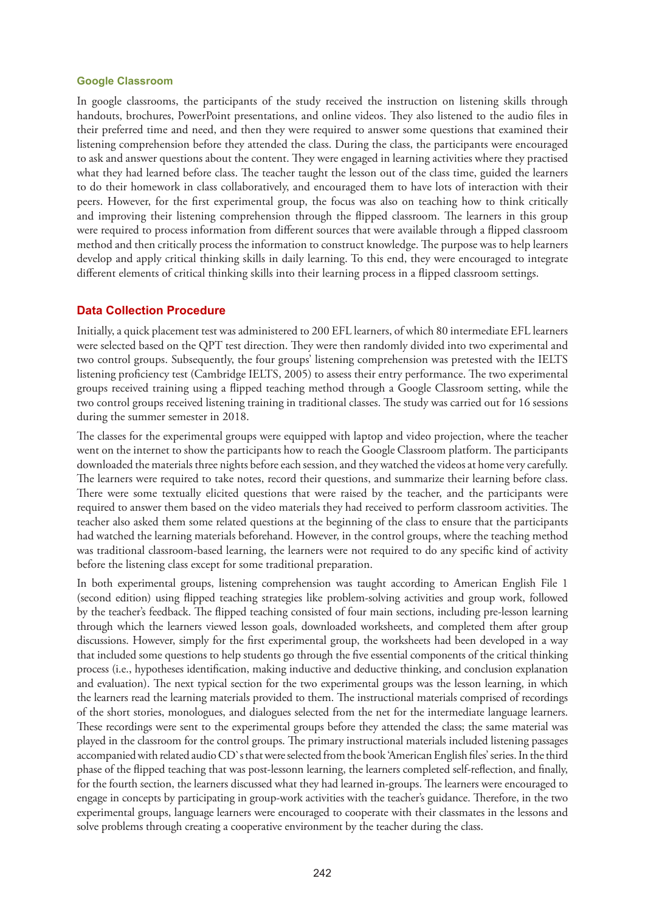#### **Google Classroom**

In google classrooms, the participants of the study received the instruction on listening skills through handouts, brochures, PowerPoint presentations, and online videos. They also listened to the audio files in their preferred time and need, and then they were required to answer some questions that examined their listening comprehension before they attended the class. During the class, the participants were encouraged to ask and answer questions about the content. They were engaged in learning activities where they practised what they had learned before class. The teacher taught the lesson out of the class time, guided the learners to do their homework in class collaboratively, and encouraged them to have lots of interaction with their peers. However, for the first experimental group, the focus was also on teaching how to think critically and improving their listening comprehension through the flipped classroom. The learners in this group were required to process information from different sources that were available through a flipped classroom method and then critically process the information to construct knowledge. The purpose was to help learners develop and apply critical thinking skills in daily learning. To this end, they were encouraged to integrate different elements of critical thinking skills into their learning process in a flipped classroom settings.

## **Data Collection Procedure**

Initially, a quick placement test was administered to 200 EFL learners, of which 80 intermediate EFL learners were selected based on the QPT test direction. They were then randomly divided into two experimental and two control groups. Subsequently, the four groups' listening comprehension was pretested with the IELTS listening proficiency test (Cambridge IELTS, 2005) to assess their entry performance. The two experimental groups received training using a flipped teaching method through a Google Classroom setting, while the two control groups received listening training in traditional classes. The study was carried out for 16 sessions during the summer semester in 2018.

The classes for the experimental groups were equipped with laptop and video projection, where the teacher went on the internet to show the participants how to reach the Google Classroom platform. The participants downloaded the materials three nights before each session, and they watched the videos at home very carefully. The learners were required to take notes, record their questions, and summarize their learning before class. There were some textually elicited questions that were raised by the teacher, and the participants were required to answer them based on the video materials they had received to perform classroom activities. The teacher also asked them some related questions at the beginning of the class to ensure that the participants had watched the learning materials beforehand. However, in the control groups, where the teaching method was traditional classroom-based learning, the learners were not required to do any specific kind of activity before the listening class except for some traditional preparation.

In both experimental groups, listening comprehension was taught according to American English File 1 (second edition) using flipped teaching strategies like problem-solving activities and group work, followed by the teacher's feedback. The flipped teaching consisted of four main sections, including pre-lesson learning through which the learners viewed lesson goals, downloaded worksheets, and completed them after group discussions. However, simply for the first experimental group, the worksheets had been developed in a way that included some questions to help students go through the five essential components of the critical thinking process (i.e., hypotheses identification, making inductive and deductive thinking, and conclusion explanation and evaluation). The next typical section for the two experimental groups was the lesson learning, in which the learners read the learning materials provided to them. The instructional materials comprised of recordings of the short stories, monologues, and dialogues selected from the net for the intermediate language learners. These recordings were sent to the experimental groups before they attended the class; the same material was played in the classroom for the control groups. The primary instructional materials included listening passages accompanied with related audio CD`s that were selected from the book 'American English files' series. In the third phase of the flipped teaching that was post-lessonn learning, the learners completed self-reflection, and finally, for the fourth section, the learners discussed what they had learned in-groups. The learners were encouraged to engage in concepts by participating in group-work activities with the teacher's guidance. Therefore, in the two experimental groups, language learners were encouraged to cooperate with their classmates in the lessons and solve problems through creating a cooperative environment by the teacher during the class.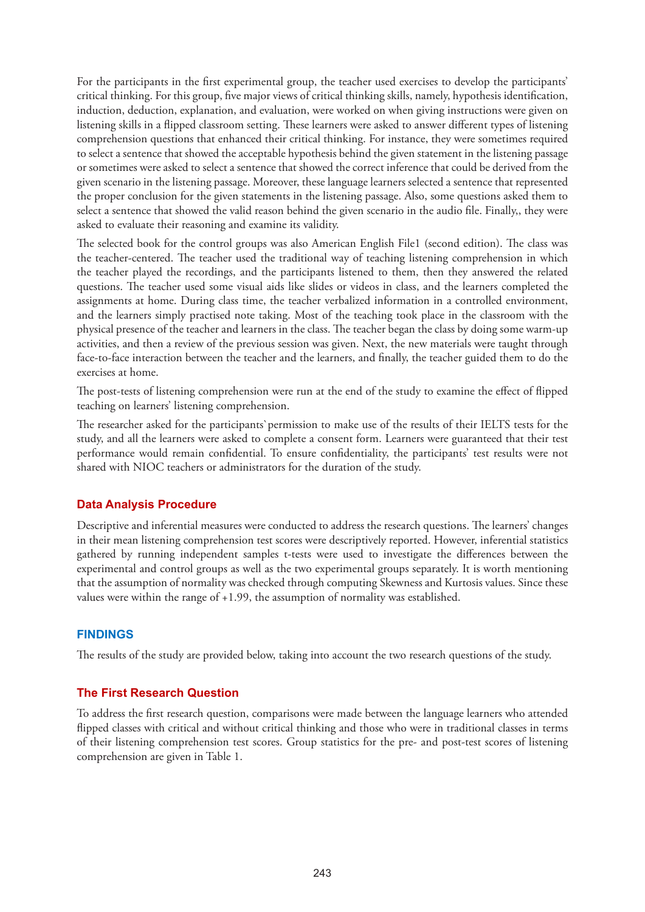For the participants in the first experimental group, the teacher used exercises to develop the participants' critical thinking. For this group, five major views of critical thinking skills, namely, hypothesis identification, induction, deduction, explanation, and evaluation, were worked on when giving instructions were given on listening skills in a flipped classroom setting. These learners were asked to answer different types of listening comprehension questions that enhanced their critical thinking. For instance, they were sometimes required to select a sentence that showed the acceptable hypothesis behind the given statement in the listening passage or sometimes were asked to select a sentence that showed the correct inference that could be derived from the given scenario in the listening passage. Moreover, these language learners selected a sentence that represented the proper conclusion for the given statements in the listening passage. Also, some questions asked them to select a sentence that showed the valid reason behind the given scenario in the audio file. Finally,, they were asked to evaluate their reasoning and examine its validity.

The selected book for the control groups was also American English File1 (second edition). The class was the teacher-centered. The teacher used the traditional way of teaching listening comprehension in which the teacher played the recordings, and the participants listened to them, then they answered the related questions. The teacher used some visual aids like slides or videos in class, and the learners completed the assignments at home. During class time, the teacher verbalized information in a controlled environment, and the learners simply practised note taking. Most of the teaching took place in the classroom with the physical presence of the teacher and learners in the class. The teacher began the class by doing some warm-up activities, and then a review of the previous session was given. Next, the new materials were taught through face-to-face interaction between the teacher and the learners, and finally, the teacher guided them to do the exercises at home.

The post-tests of listening comprehension were run at the end of the study to examine the effect of flipped teaching on learners' listening comprehension.

The researcher asked for the participants`permission to make use of the results of their IELTS tests for the study, and all the learners were asked to complete a consent form. Learners were guaranteed that their test performance would remain confidential. To ensure confidentiality, the participants' test results were not shared with NIOC teachers or administrators for the duration of the study.

# **Data Analysis Procedure**

Descriptive and inferential measures were conducted to address the research questions. The learners' changes in their mean listening comprehension test scores were descriptively reported. However, inferential statistics gathered by running independent samples t-tests were used to investigate the differences between the experimental and control groups as well as the two experimental groups separately. It is worth mentioning that the assumption of normality was checked through computing Skewness and Kurtosis values. Since these values were within the range of +1.99, the assumption of normality was established.

#### **FINDINGS**

The results of the study are provided below, taking into account the two research questions of the study.

#### **The First Research Question**

To address the first research question, comparisons were made between the language learners who attended flipped classes with critical and without critical thinking and those who were in traditional classes in terms of their listening comprehension test scores. Group statistics for the pre- and post-test scores of listening comprehension are given in Table 1.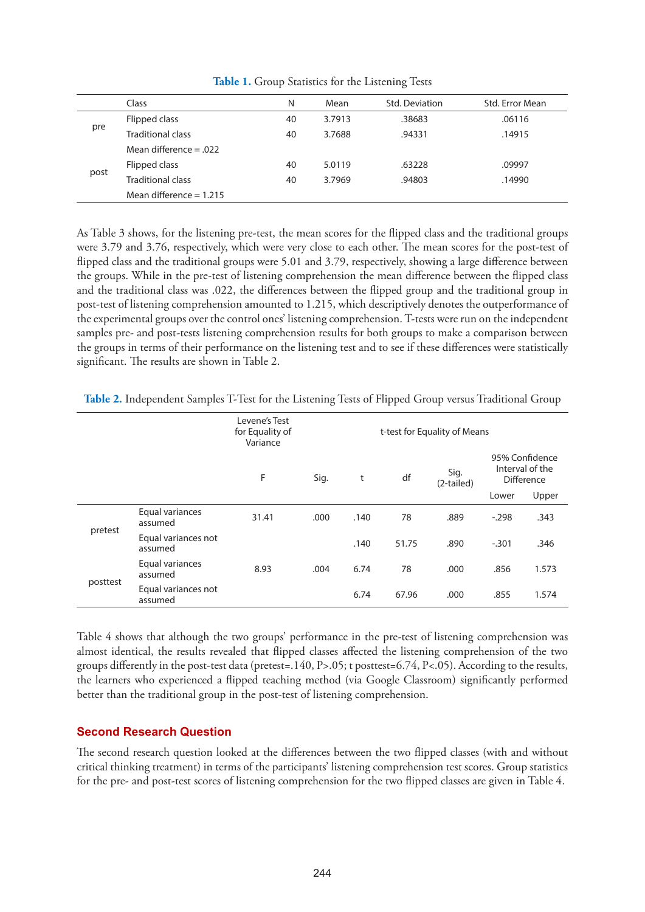|      | Class                     | N  | Mean   | Std. Deviation | Std. Error Mean |  |
|------|---------------------------|----|--------|----------------|-----------------|--|
|      | Flipped class             | 40 | 3.7913 | .38683         | .06116          |  |
| pre  | <b>Traditional class</b>  | 40 | 3.7688 | .94331         | .14915          |  |
|      | Mean difference $= .022$  |    |        |                |                 |  |
| post | Flipped class             | 40 | 5.0119 | .63228         | .09997          |  |
|      | <b>Traditional class</b>  | 40 | 3.7969 | .94803         | .14990          |  |
|      | Mean difference $= 1.215$ |    |        |                |                 |  |

**Table 1.** Group Statistics for the Listening Tests

As Table 3 shows, for the listening pre-test, the mean scores for the flipped class and the traditional groups were 3.79 and 3.76, respectively, which were very close to each other. The mean scores for the post-test of flipped class and the traditional groups were 5.01 and 3.79, respectively, showing a large difference between the groups. While in the pre-test of listening comprehension the mean difference between the flipped class and the traditional class was .022, the differences between the flipped group and the traditional group in post-test of listening comprehension amounted to 1.215, which descriptively denotes the outperformance of the experimental groups over the control ones' listening comprehension. T-tests were run on the independent samples pre- and post-tests listening comprehension results for both groups to make a comparison between the groups in terms of their performance on the listening test and to see if these differences were statistically significant. The results are shown in Table 2.

|  |  |  |  | Table 2. Independent Samples T-Test for the Listening Tests of Flipped Group versus Traditional Group |
|--|--|--|--|-------------------------------------------------------------------------------------------------------|
|--|--|--|--|-------------------------------------------------------------------------------------------------------|

|          |                                | Levene's Test<br>for Equality of<br>Variance | t-test for Equality of Means |      |       |                    |                                                 |       |
|----------|--------------------------------|----------------------------------------------|------------------------------|------|-------|--------------------|-------------------------------------------------|-------|
|          |                                | F<br>Sig.                                    |                              | t    | df    | Sig.<br>(2-tailed) | 95% Confidence<br>Interval of the<br>Difference |       |
|          |                                |                                              |                              |      |       |                    | Lower                                           | Upper |
|          | Equal variances<br>assumed     | 31.41                                        | .000                         | .140 | 78    | .889               | $-.298$                                         | .343  |
| pretest  | Equal variances not<br>assumed |                                              |                              | .140 | 51.75 | .890               | $-.301$                                         | .346  |
| posttest | Equal variances<br>assumed     | 8.93                                         | .004                         | 6.74 | 78    | .000               | .856                                            | 1.573 |
|          | Equal variances not<br>assumed |                                              |                              | 6.74 | 67.96 | .000               | .855                                            | 1.574 |

Table 4 shows that although the two groups' performance in the pre-test of listening comprehension was almost identical, the results revealed that flipped classes affected the listening comprehension of the two groups differently in the post-test data (pretest=.140, P>.05; t posttest=6.74, P<.05). According to the results, the learners who experienced a flipped teaching method (via Google Classroom) significantly performed better than the traditional group in the post-test of listening comprehension.

# **Second Research Question**

The second research question looked at the differences between the two flipped classes (with and without critical thinking treatment) in terms of the participants' listening comprehension test scores. Group statistics for the pre- and post-test scores of listening comprehension for the two flipped classes are given in Table 4.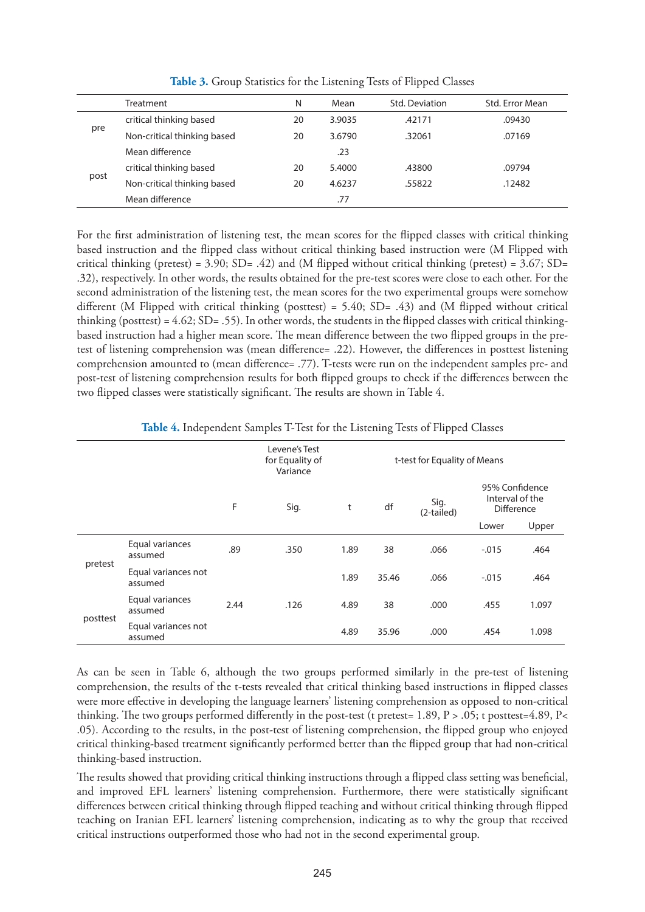|      | <b>Treatment</b>            | N  | Mean   | Std. Deviation | Std. Error Mean |
|------|-----------------------------|----|--------|----------------|-----------------|
| pre  | critical thinking based     | 20 | 3.9035 | .42171         | .09430          |
|      | Non-critical thinking based | 20 | 3.6790 | .32061         | .07169          |
|      | Mean difference             |    | .23    |                |                 |
| post | critical thinking based     | 20 | 5.4000 | .43800         | .09794          |
|      | Non-critical thinking based | 20 | 4.6237 | .55822         | .12482          |
|      | Mean difference             |    | .77    |                |                 |

**Table 3.** Group Statistics for the Listening Tests of Flipped Classes

For the first administration of listening test, the mean scores for the flipped classes with critical thinking based instruction and the flipped class without critical thinking based instruction were (M Flipped with critical thinking (pretest) = 3.90;  $SD = .42$ ) and (M flipped without critical thinking (pretest) = 3.67;  $SD =$ .32), respectively. In other words, the results obtained for the pre-test scores were close to each other. For the second administration of the listening test, the mean scores for the two experimental groups were somehow different (M Flipped with critical thinking (posttest) = 5.40; SD= .43) and (M flipped without critical thinking (posttest) =  $4.62$ ; SD= .55). In other words, the students in the flipped classes with critical thinkingbased instruction had a higher mean score. The mean difference between the two flipped groups in the pretest of listening comprehension was (mean difference= .22). However, the differences in posttest listening comprehension amounted to (mean difference= .77). T-tests were run on the independent samples pre- and post-test of listening comprehension results for both flipped groups to check if the differences between the two flipped classes were statistically significant. The results are shown in Table 4.

| <b>TWORE I</b> Independent Samples 1 Test for the Enstering Tests of Impped Chasses |                                |      |                                              |                              |       |                    |                                                        |       |
|-------------------------------------------------------------------------------------|--------------------------------|------|----------------------------------------------|------------------------------|-------|--------------------|--------------------------------------------------------|-------|
|                                                                                     |                                |      | Levene's Test<br>for Equality of<br>Variance | t-test for Equality of Means |       |                    |                                                        |       |
|                                                                                     |                                | F    | Sig.                                         | t                            | df    | Sig.<br>(2-tailed) | 95% Confidence<br>Interval of the<br><b>Difference</b> |       |
|                                                                                     |                                |      |                                              |                              |       |                    | Lower                                                  | Upper |
| pretest                                                                             | Equal variances<br>assumed     | .89  | .350                                         | 1.89                         | 38    | .066               | $-0.015$                                               | .464  |
|                                                                                     | Equal variances not<br>assumed |      |                                              | 1.89                         | 35.46 | .066               | $-0.015$                                               | .464  |
| posttest                                                                            | Equal variances<br>assumed     | 2.44 | .126                                         | 4.89                         | 38    | .000               | .455                                                   | 1.097 |
|                                                                                     | Equal variances not<br>assumed |      |                                              | 4.89                         | 35.96 | .000               | .454                                                   | 1.098 |

**Table 4.** Independent Samples T-Test for the Listening Tests of Flipped Classes

As can be seen in Table 6, although the two groups performed similarly in the pre-test of listening comprehension, the results of the t-tests revealed that critical thinking based instructions in flipped classes were more effective in developing the language learners' listening comprehension as opposed to non-critical thinking. The two groups performed differently in the post-test (t pretest=  $1.89$ ,  $P > .05$ ; t posttest=  $4.89$ ,  $P <$ .05). According to the results, in the post-test of listening comprehension, the flipped group who enjoyed critical thinking-based treatment significantly performed better than the flipped group that had non-critical thinking-based instruction.

The results showed that providing critical thinking instructions through a flipped class setting was beneficial, and improved EFL learners' listening comprehension. Furthermore, there were statistically significant differences between critical thinking through flipped teaching and without critical thinking through flipped teaching on Iranian EFL learners' listening comprehension, indicating as to why the group that received critical instructions outperformed those who had not in the second experimental group.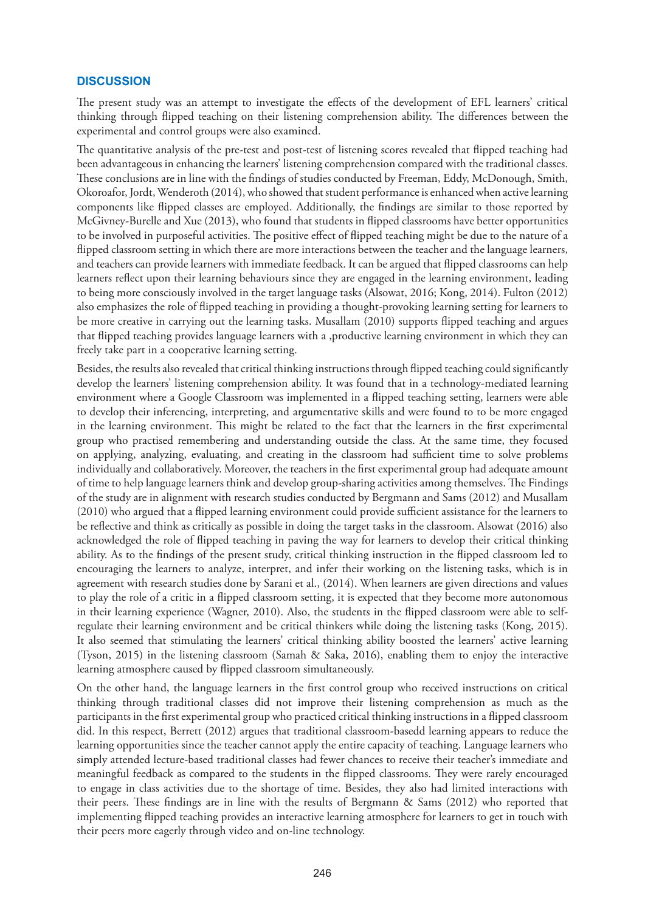## **DISCUSSION**

The present study was an attempt to investigate the effects of the development of EFL learners' critical thinking through flipped teaching on their listening comprehension ability. The differences between the experimental and control groups were also examined.

The quantitative analysis of the pre-test and post-test of listening scores revealed that flipped teaching had been advantageous in enhancing the learners' listening comprehension compared with the traditional classes. These conclusions are in line with the findings of studies conducted by Freeman, Eddy, McDonough, Smith, Okoroafor, Jordt, Wenderoth (2014), who showed that student performance is enhanced when active learning components like flipped classes are employed. Additionally, the findings are similar to those reported by McGivney-Burelle and Xue (2013), who found that students in flipped classrooms have better opportunities to be involved in purposeful activities. The positive effect of flipped teaching might be due to the nature of a flipped classroom setting in which there are more interactions between the teacher and the language learners, and teachers can provide learners with immediate feedback. It can be argued that flipped classrooms can help learners reflect upon their learning behaviours since they are engaged in the learning environment, leading to being more consciously involved in the target language tasks (Alsowat, 2016; Kong, 2014). Fulton (2012) also emphasizes the role of flipped teaching in providing a thought-provoking learning setting for learners to be more creative in carrying out the learning tasks. Musallam (2010) supports flipped teaching and argues that flipped teaching provides language learners with a ,productive learning environment in which they can freely take part in a cooperative learning setting.

Besides, the results also revealed that critical thinking instructions through flipped teaching could significantly develop the learners' listening comprehension ability. It was found that in a technology-mediated learning environment where a Google Classroom was implemented in a flipped teaching setting, learners were able to develop their inferencing, interpreting, and argumentative skills and were found to to be more engaged in the learning environment. This might be related to the fact that the learners in the first experimental group who practised remembering and understanding outside the class. At the same time, they focused on applying, analyzing, evaluating, and creating in the classroom had sufficient time to solve problems individually and collaboratively. Moreover, the teachers in the first experimental group had adequate amount of time to help language learners think and develop group-sharing activities among themselves. The Findings of the study are in alignment with research studies conducted by Bergmann and Sams (2012) and Musallam (2010) who argued that a flipped learning environment could provide sufficient assistance for the learners to be reflective and think as critically as possible in doing the target tasks in the classroom. Alsowat (2016) also acknowledged the role of flipped teaching in paving the way for learners to develop their critical thinking ability. As to the findings of the present study, critical thinking instruction in the flipped classroom led to encouraging the learners to analyze, interpret, and infer their working on the listening tasks, which is in agreement with research studies done by Sarani et al., (2014). When learners are given directions and values to play the role of a critic in a flipped classroom setting, it is expected that they become more autonomous in their learning experience (Wagner, 2010). Also, the students in the flipped classroom were able to selfregulate their learning environment and be critical thinkers while doing the listening tasks (Kong, 2015). It also seemed that stimulating the learners' critical thinking ability boosted the learners' active learning (Tyson, 2015) in the listening classroom (Samah & Saka, 2016), enabling them to enjoy the interactive learning atmosphere caused by flipped classroom simultaneously.

On the other hand, the language learners in the first control group who received instructions on critical thinking through traditional classes did not improve their listening comprehension as much as the participants in the first experimental group who practiced critical thinking instructions in a flipped classroom did. In this respect, Berrett (2012) argues that traditional classroom-basedd learning appears to reduce the learning opportunities since the teacher cannot apply the entire capacity of teaching. Language learners who simply attended lecture-based traditional classes had fewer chances to receive their teacher's immediate and meaningful feedback as compared to the students in the flipped classrooms. They were rarely encouraged to engage in class activities due to the shortage of time. Besides, they also had limited interactions with their peers. These findings are in line with the results of Bergmann & Sams (2012) who reported that implementing flipped teaching provides an interactive learning atmosphere for learners to get in touch with their peers more eagerly through video and on-line technology.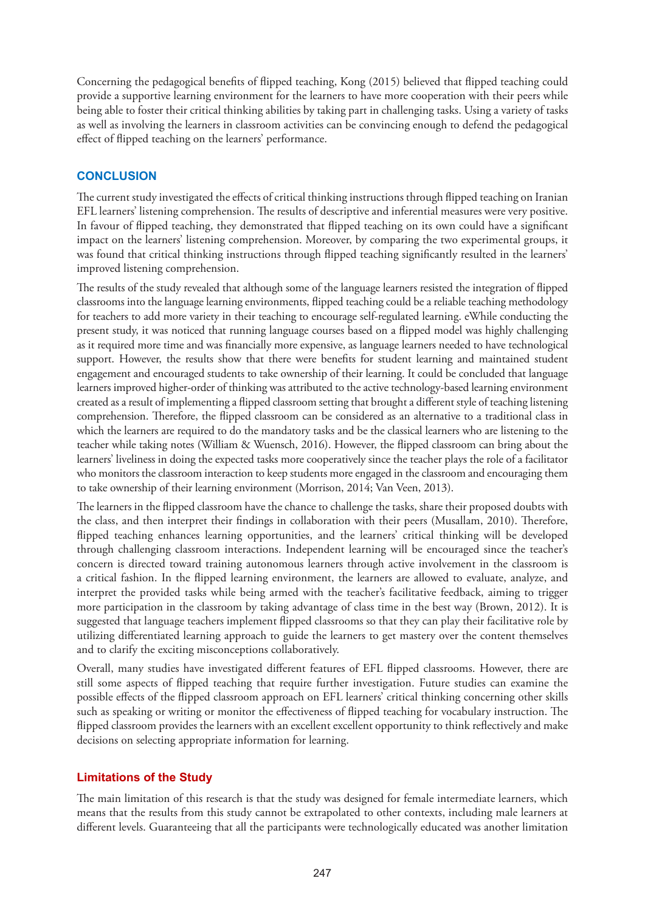Concerning the pedagogical benefits of flipped teaching, Kong (2015) believed that flipped teaching could provide a supportive learning environment for the learners to have more cooperation with their peers while being able to foster their critical thinking abilities by taking part in challenging tasks. Using a variety of tasks as well as involving the learners in classroom activities can be convincing enough to defend the pedagogical effect of flipped teaching on the learners' performance.

# **CONCLUSION**

The current study investigated the effects of critical thinking instructions through flipped teaching on Iranian EFL learners' listening comprehension. The results of descriptive and inferential measures were very positive. In favour of flipped teaching, they demonstrated that flipped teaching on its own could have a significant impact on the learners' listening comprehension. Moreover, by comparing the two experimental groups, it was found that critical thinking instructions through flipped teaching significantly resulted in the learners' improved listening comprehension.

The results of the study revealed that although some of the language learners resisted the integration of flipped classrooms into the language learning environments, flipped teaching could be a reliable teaching methodology for teachers to add more variety in their teaching to encourage self-regulated learning. eWhile conducting the present study, it was noticed that running language courses based on a flipped model was highly challenging as it required more time and was financially more expensive, as language learners needed to have technological support. However, the results show that there were benefits for student learning and maintained student engagement and encouraged students to take ownership of their learning. It could be concluded that language learners improved higher-order of thinking was attributed to the active technology-based learning environment created as a result of implementing a flipped classroom setting that brought a different style of teaching listening comprehension. Therefore, the flipped classroom can be considered as an alternative to a traditional class in which the learners are required to do the mandatory tasks and be the classical learners who are listening to the teacher while taking notes (William & Wuensch, 2016). However, the flipped classroom can bring about the learners' liveliness in doing the expected tasks more cooperatively since the teacher plays the role of a facilitator who monitors the classroom interaction to keep students more engaged in the classroom and encouraging them to take ownership of their learning environment (Morrison, 2014; Van Veen, 2013).

The learners in the flipped classroom have the chance to challenge the tasks, share their proposed doubts with the class, and then interpret their findings in collaboration with their peers (Musallam, 2010). Therefore, flipped teaching enhances learning opportunities, and the learners' critical thinking will be developed through challenging classroom interactions. Independent learning will be encouraged since the teacher's concern is directed toward training autonomous learners through active involvement in the classroom is a critical fashion. In the flipped learning environment, the learners are allowed to evaluate, analyze, and interpret the provided tasks while being armed with the teacher's facilitative feedback, aiming to trigger more participation in the classroom by taking advantage of class time in the best way (Brown, 2012). It is suggested that language teachers implement flipped classrooms so that they can play their facilitative role by utilizing differentiated learning approach to guide the learners to get mastery over the content themselves and to clarify the exciting misconceptions collaboratively.

Overall, many studies have investigated different features of EFL flipped classrooms. However, there are still some aspects of flipped teaching that require further investigation. Future studies can examine the possible effects of the flipped classroom approach on EFL learners' critical thinking concerning other skills such as speaking or writing or monitor the effectiveness of flipped teaching for vocabulary instruction. The flipped classroom provides the learners with an excellent excellent opportunity to think reflectively and make decisions on selecting appropriate information for learning.

# **Limitations of the Study**

The main limitation of this research is that the study was designed for female intermediate learners, which means that the results from this study cannot be extrapolated to other contexts, including male learners at different levels. Guaranteeing that all the participants were technologically educated was another limitation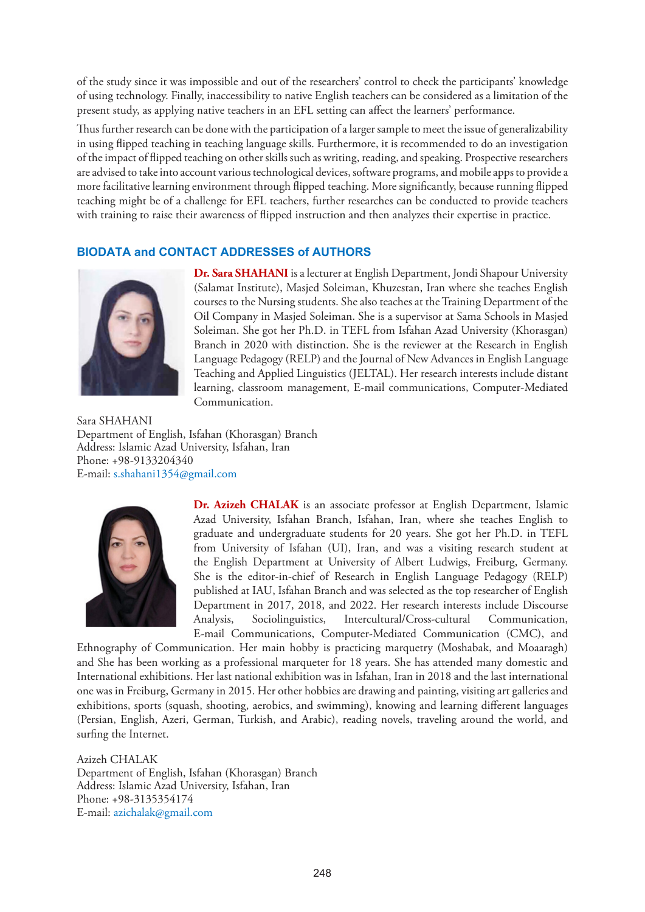of the study since it was impossible and out of the researchers' control to check the participants' knowledge of using technology. Finally, inaccessibility to native English teachers can be considered as a limitation of the present study, as applying native teachers in an EFL setting can affect the learners' performance.

Thus further research can be done with the participation of a larger sample to meet the issue of generalizability in using flipped teaching in teaching language skills. Furthermore, it is recommended to do an investigation of the impact of flipped teaching on other skills such as writing, reading, and speaking. Prospective researchers are advised to take into account various technological devices, software programs, and mobile apps to provide a more facilitative learning environment through flipped teaching. More significantly, because running flipped teaching might be of a challenge for EFL teachers, further researches can be conducted to provide teachers with training to raise their awareness of flipped instruction and then analyzes their expertise in practice.

# **BIODATA and CONTACT ADDRESSES of AUTHORS**



**Dr. Sara SHAHANI** is a lecturer at English Department, Jondi Shapour University (Salamat Institute), Masjed Soleiman, Khuzestan, Iran where she teaches English courses to the Nursing students. She also teaches at the Training Department of the Oil Company in Masjed Soleiman. She is a supervisor at Sama Schools in Masjed Soleiman. She got her Ph.D. in TEFL from Isfahan Azad University (Khorasgan) Branch in 2020 with distinction. She is the reviewer at the Research in English Language Pedagogy (RELP) and the Journal of New Advances in English Language Teaching and Applied Linguistics (JELTAL). Her research interests include distant learning, classroom management, E-mail communications, Computer-Mediated Communication.

Sara SHAHANI Department of English, Isfahan (Khorasgan) Branch Address: Islamic Azad University, Isfahan, Iran Phone: +98-9133204340 E-mail: s.shahani1354@gmail.com



**Dr. Azizeh CHALAK** is an associate professor at English Department, Islamic Azad University, Isfahan Branch, Isfahan, Iran, where she teaches English to graduate and undergraduate students for 20 years. She got her Ph.D. in TEFL from University of Isfahan (UI), Iran, and was a visiting research student at the English Department at University of Albert Ludwigs, Freiburg, Germany. She is the editor-in-chief of Research in English Language Pedagogy (RELP) published at IAU, Isfahan Branch and was selected as the top researcher of English Department in 2017, 2018, and 2022. Her research interests include Discourse Analysis, Sociolinguistics, Intercultural/Cross-cultural Communication, E-mail Communications, Computer-Mediated Communication (CMC), and

Ethnography of Communication. Her main hobby is practicing marquetry (Moshabak, and Moaaragh) and She has been working as a professional marqueter for 18 years. She has attended many domestic and International exhibitions. Her last national exhibition was in Isfahan, Iran in 2018 and the last international one was in Freiburg, Germany in 2015. Her other hobbies are drawing and painting, visiting art galleries and exhibitions, sports (squash, shooting, aerobics, and swimming), knowing and learning different languages (Persian, English, Azeri, German, Turkish, and Arabic), reading novels, traveling around the world, and surfing the Internet.

Azizeh CHALAK Department of English, Isfahan (Khorasgan) Branch Address: Islamic Azad University, Isfahan, Iran Phone: +98-3135354174 E-mail: azichalak@gmail.com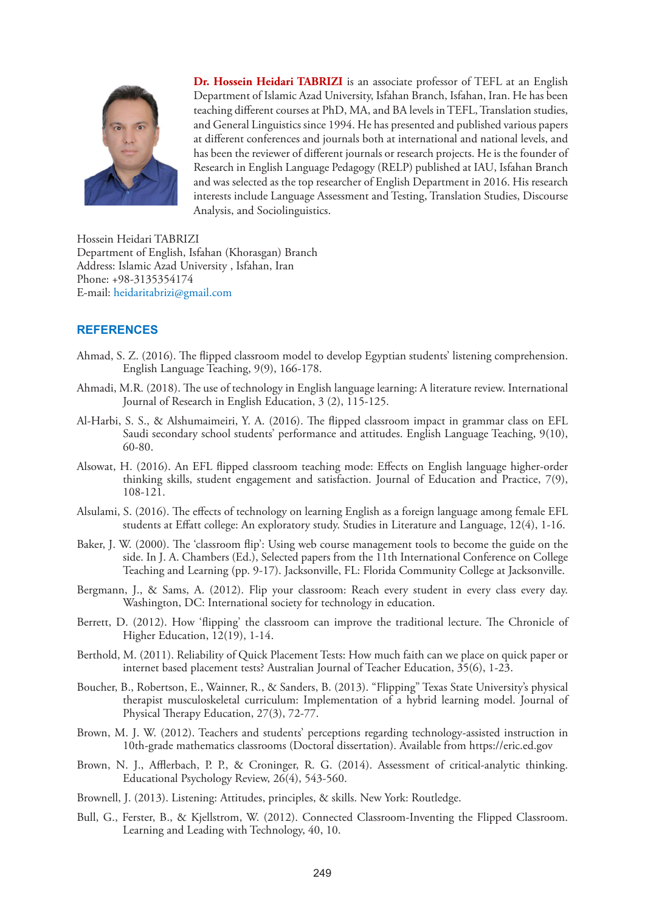

**Dr. Hossein Heidari TABRIZI** is an associate professor of TEFL at an English Department of Islamic Azad University, Isfahan Branch, Isfahan, Iran. He has been teaching different courses at PhD, MA, and BA levels in TEFL, Translation studies, and General Linguistics since 1994. He has presented and published various papers at different conferences and journals both at international and national levels, and has been the reviewer of different journals or research projects. He is the founder of Research in English Language Pedagogy (RELP) published at IAU, Isfahan Branch and was selected as the top researcher of English Department in 2016. His research interests include Language Assessment and Testing, Translation Studies, Discourse Analysis, and Sociolinguistics.

Hossein Heidari TABRIZI Department of English, Isfahan (Khorasgan) Branch Address: Islamic Azad University , Isfahan, Iran Phone: +98-3135354174 E-mail: heidaritabrizi@gmail.com

## **REFERENCES**

- Ahmad, S. Z. (2016). The flipped classroom model to develop Egyptian students' listening comprehension. English Language Teaching, 9(9), 166-178.
- Ahmadi, M.R. (2018). The use of technology in English language learning: A literature review. International Journal of Research in English Education, 3 (2), 115-125.
- Al-Harbi, S. S., & Alshumaimeiri, Y. A. (2016). The flipped classroom impact in grammar class on EFL Saudi secondary school students' performance and attitudes. English Language Teaching, 9(10), 60-80.
- Alsowat, H. (2016). An EFL flipped classroom teaching mode: Effects on English language higher-order thinking skills, student engagement and satisfaction. Journal of Education and Practice, 7(9), 108-121.
- Alsulami, S. (2016). The effects of technology on learning English as a foreign language among female EFL students at Effatt college: An exploratory study. Studies in Literature and Language, 12(4), 1-16.
- Baker, J. W. (2000). The 'classroom flip': Using web course management tools to become the guide on the side. In J. A. Chambers (Ed.), Selected papers from the 11th International Conference on College Teaching and Learning (pp. 9-17). Jacksonville, FL: Florida Community College at Jacksonville.
- Bergmann, J., & Sams, A. (2012). Flip your classroom: Reach every student in every class every day. Washington, DC: International society for technology in education.
- Berrett, D. (2012). How 'flipping' the classroom can improve the traditional lecture. The Chronicle of Higher Education, 12(19), 1-14.
- Berthold, M. (2011). Reliability of Quick Placement Tests: How much faith can we place on quick paper or internet based placement tests? Australian Journal of Teacher Education, 35(6), 1-23.
- Boucher, B., Robertson, E., Wainner, R., & Sanders, B. (2013). "Flipping" Texas State University's physical therapist musculoskeletal curriculum: Implementation of a hybrid learning model. Journal of Physical Therapy Education, 27(3), 72-77.
- Brown, M. J. W. (2012). Teachers and students' perceptions regarding technology-assisted instruction in 10th-grade mathematics classrooms (Doctoral dissertation). Available from https://eric.ed.gov
- Brown, N. J., Afflerbach, P. P., & Croninger, R. G. (2014). Assessment of critical-analytic thinking. Educational Psychology Review, 26(4), 543-560.
- Brownell, J. (2013). Listening: Attitudes, principles, & skills. New York: Routledge.
- Bull, G., Ferster, B., & Kjellstrom, W. (2012). Connected Classroom-Inventing the Flipped Classroom. Learning and Leading with Technology, 40, 10.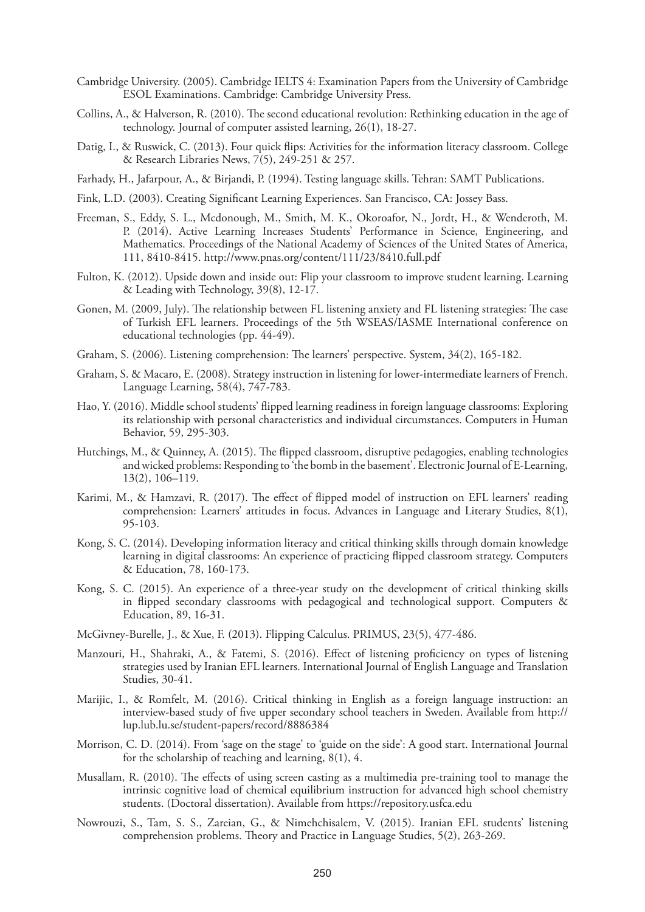- Cambridge University. (2005). Cambridge IELTS 4: Examination Papers from the University of Cambridge ESOL Examinations. Cambridge: Cambridge University Press.
- Collins, A., & Halverson, R. (2010). The second educational revolution: Rethinking education in the age of technology. Journal of computer assisted learning, 26(1), 18-27.
- Datig, I., & Ruswick, C. (2013). Four quick flips: Activities for the information literacy classroom. College & Research Libraries News,  $7(5)$ , 249-251 & 257.
- Farhady, H., Jafarpour, A., & Birjandi, P. (1994). Testing language skills. Tehran: SAMT Publications.
- Fink, L.D. (2003). Creating Significant Learning Experiences. San Francisco, CA: Jossey Bass.
- Freeman, S., Eddy, S. L., Mcdonough, M., Smith, M. K., Okoroafor, N., Jordt, H., & Wenderoth, M. P. (2014). Active Learning Increases Students' Performance in Science, Engineering, and Mathematics. Proceedings of the National Academy of Sciences of the United States of America, 111, 8410-8415. http://www.pnas.org/content/111/23/8410.full.pdf
- Fulton, K. (2012). Upside down and inside out: Flip your classroom to improve student learning. Learning & Leading with Technology, 39(8), 12-17.
- Gonen, M. (2009, July). The relationship between FL listening anxiety and FL listening strategies: The case of Turkish EFL learners. Proceedings of the 5th WSEAS/IASME International conference on educational technologies (pp. 44-49).
- Graham, S. (2006). Listening comprehension: The learners' perspective. System, 34(2), 165-182.
- Graham, S. & Macaro, E. (2008). Strategy instruction in listening for lower-intermediate learners of French. Language Learning, 58(4), 747-783.
- Hao, Y. (2016). Middle school students' flipped learning readiness in foreign language classrooms: Exploring its relationship with personal characteristics and individual circumstances. Computers in Human Behavior, 59, 295-303.
- Hutchings, M., & Quinney, A. (2015). The flipped classroom, disruptive pedagogies, enabling technologies and wicked problems: Responding to 'the bomb in the basement'. Electronic Journal of E-Learning, 13(2), 106–119.
- Karimi, M., & Hamzavi, R. (2017). The effect of flipped model of instruction on EFL learners' reading comprehension: Learners' attitudes in focus. Advances in Language and Literary Studies, 8(1), 95-103.
- Kong, S. C. (2014). Developing information literacy and critical thinking skills through domain knowledge learning in digital classrooms: An experience of practicing flipped classroom strategy. Computers & Education, 78, 160-173.
- Kong, S. C. (2015). An experience of a three-year study on the development of critical thinking skills in flipped secondary classrooms with pedagogical and technological support. Computers & Education, 89, 16-31.
- McGivney-Burelle, J., & Xue, F. (2013). Flipping Calculus. PRIMUS, 23(5), 477-486.
- Manzouri, H., Shahraki, A., & Fatemi, S. (2016). Effect of listening proficiency on types of listening strategies used by Iranian EFL learners. International Journal of English Language and Translation Studies, 30-41.
- Marijic, I., & Romfelt, M. (2016). Critical thinking in English as a foreign language instruction: an interview-based study of five upper secondary school teachers in Sweden. Available from http:// lup.lub.lu.se/student-papers/record/8886384
- Morrison, C. D. (2014). From 'sage on the stage' to 'guide on the side': A good start. International Journal for the scholarship of teaching and learning, 8(1), 4.
- Musallam, R. (2010). The effects of using screen casting as a multimedia pre-training tool to manage the intrinsic cognitive load of chemical equilibrium instruction for advanced high school chemistry students. (Doctoral dissertation). Available from https://repository.usfca.edu
- Nowrouzi, S., Tam, S. S., Zareian, G., & Nimehchisalem, V. (2015). Iranian EFL students' listening comprehension problems. Theory and Practice in Language Studies, 5(2), 263-269.